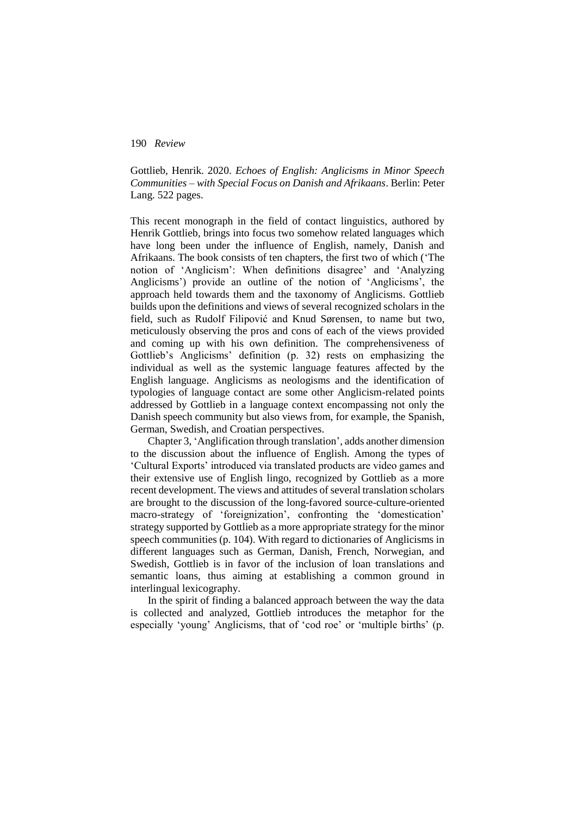Gottlieb, Henrik. 2020. *Echoes of English: Anglicisms in Minor Speech Communities – with Special Focus on Danish and Afrikaans*. Berlin: Peter Lang. 522 pages.

This recent monograph in the field of contact linguistics, authored by Henrik Gottlieb, brings into focus two somehow related languages which have long been under the influence of English, namely, Danish and Afrikaans. The book consists of ten chapters, the first two of which ('The notion of 'Anglicism': When definitions disagree' and 'Analyzing Anglicisms') provide an outline of the notion of 'Anglicisms', the approach held towards them and the taxonomy of Anglicisms. Gottlieb builds upon the definitions and views of several recognized scholars in the field, such as Rudolf Filipović and Knud Sørensen, to name but two, meticulously observing the pros and cons of each of the views provided and coming up with his own definition. The comprehensiveness of Gottlieb's Anglicisms' definition (p. 32) rests on emphasizing the individual as well as the systemic language features affected by the English language. Anglicisms as neologisms and the identification of typologies of language contact are some other Anglicism-related points addressed by Gottlieb in a language context encompassing not only the Danish speech community but also views from, for example, the Spanish, German, Swedish, and Croatian perspectives.

Chapter 3, 'Anglification through translation', adds another dimension to the discussion about the influence of English. Among the types of 'Cultural Exports' introduced via translated products are video games and their extensive use of English lingo, recognized by Gottlieb as a more recent development. The views and attitudes of several translation scholars are brought to the discussion of the long-favored source-culture-oriented macro-strategy of 'foreignization', confronting the 'domestication' strategy supported by Gottlieb as a more appropriate strategy for the minor speech communities (p. 104). With regard to dictionaries of Anglicisms in different languages such as German, Danish, French, Norwegian, and Swedish, Gottlieb is in favor of the inclusion of loan translations and semantic loans, thus aiming at establishing a common ground in interlingual lexicography.

In the spirit of finding a balanced approach between the way the data is collected and analyzed, Gottlieb introduces the metaphor for the especially 'young' Anglicisms, that of 'cod roe' or 'multiple births' (p.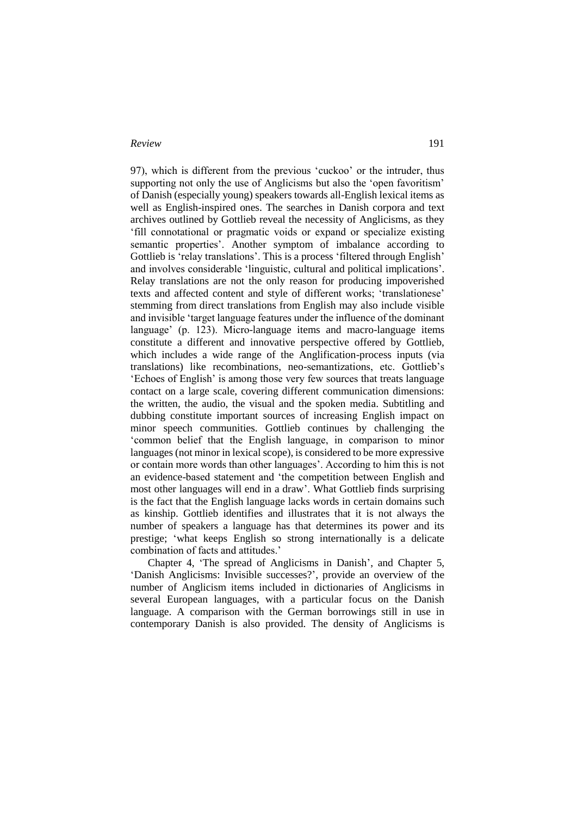97), which is different from the previous 'cuckoo' or the intruder, thus supporting not only the use of Anglicisms but also the 'open favoritism' of Danish (especially young) speakers towards all-English lexical items as well as English-inspired ones. The searches in Danish corpora and text archives outlined by Gottlieb reveal the necessity of Anglicisms, as they 'fill connotational or pragmatic voids or expand or specialize existing semantic properties'. Another symptom of imbalance according to Gottlieb is 'relay translations'. This is a process 'filtered through English' and involves considerable 'linguistic, cultural and political implications'. Relay translations are not the only reason for producing impoverished texts and affected content and style of different works; 'translationese' stemming from direct translations from English may also include visible and invisible 'target language features under the influence of the dominant language' (p. 123). Micro-language items and macro-language items constitute a different and innovative perspective offered by Gottlieb, which includes a wide range of the Anglification-process inputs (via translations) like recombinations, neo-semantizations, etc. Gottlieb's 'Echoes of English' is among those very few sources that treats language contact on a large scale, covering different communication dimensions: the written, the audio, the visual and the spoken media. Subtitling and dubbing constitute important sources of increasing English impact on minor speech communities. Gottlieb continues by challenging the 'common belief that the English language, in comparison to minor languages (not minor in lexical scope), is considered to be more expressive or contain more words than other languages'. According to him this is not an evidence-based statement and 'the competition between English and most other languages will end in a draw'. What Gottlieb finds surprising is the fact that the English language lacks words in certain domains such as kinship. Gottlieb identifies and illustrates that it is not always the number of speakers a language has that determines its power and its prestige; 'what keeps English so strong internationally is a delicate combination of facts and attitudes.'

Chapter 4, 'The spread of Anglicisms in Danish', and Chapter 5, 'Danish Anglicisms: Invisible successes?', provide an overview of the number of Anglicism items included in dictionaries of Anglicisms in several European languages, with a particular focus on the Danish language. A comparison with the German borrowings still in use in contemporary Danish is also provided. The density of Anglicisms is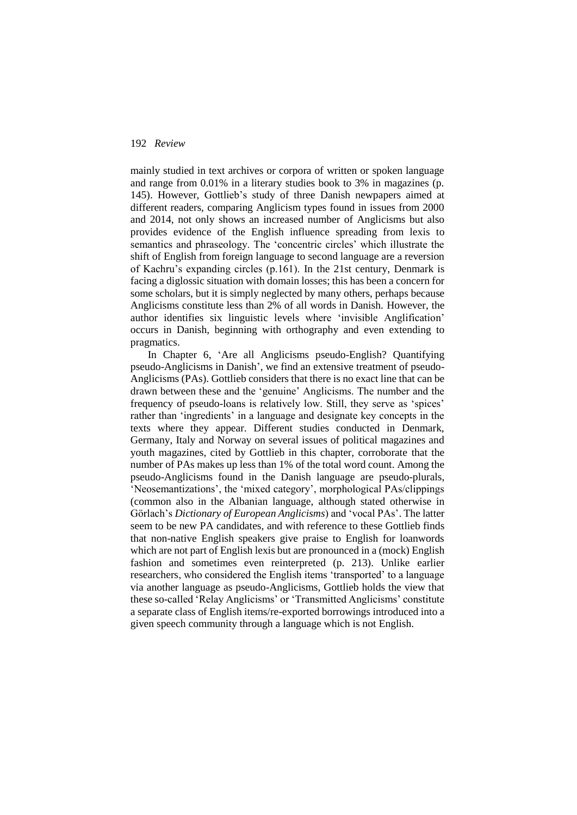mainly studied in text archives or corpora of written or spoken language and range from 0.01% in a literary studies book to 3% in magazines (p. 145). However, Gottlieb's study of three Danish newpapers aimed at different readers, comparing Anglicism types found in issues from 2000 and 2014, not only shows an increased number of Anglicisms but also provides evidence of the English influence spreading from lexis to semantics and phraseology. The 'concentric circles' which illustrate the shift of English from foreign language to second language are a reversion of Kachru's expanding circles (p.161). In the 21st century, Denmark is facing a diglossic situation with domain losses; this has been a concern for some scholars, but it is simply neglected by many others, perhaps because Anglicisms constitute less than 2% of all words in Danish. However, the author identifies six linguistic levels where 'invisible Anglification' occurs in Danish, beginning with orthography and even extending to pragmatics.

In Chapter 6, 'Are all Anglicisms pseudo-English? Quantifying pseudo-Anglicisms in Danish', we find an extensive treatment of pseudo-Anglicisms (PAs). Gottlieb considers that there is no exact line that can be drawn between these and the 'genuine' Anglicisms. The number and the frequency of pseudo-loans is relatively low. Still, they serve as 'spices' rather than 'ingredients' in a language and designate key concepts in the texts where they appear. Different studies conducted in Denmark, Germany, Italy and Norway on several issues of political magazines and youth magazines, cited by Gottlieb in this chapter, corroborate that the number of PAs makes up less than 1% of the total word count. Among the pseudo-Anglicisms found in the Danish language are pseudo-plurals, 'Neosemantizations', the 'mixed category', morphological PAs/clippings (common also in the Albanian language, although stated otherwise in Görlach's *Dictionary of European Anglicisms*) and 'vocal PAs'. The latter seem to be new PA candidates, and with reference to these Gottlieb finds that non-native English speakers give praise to English for loanwords which are not part of English lexis but are pronounced in a (mock) English fashion and sometimes even reinterpreted (p. 213). Unlike earlier researchers, who considered the English items 'transported' to a language via another language as pseudo-Anglicisms, Gottlieb holds the view that these so-called 'Relay Anglicisms' or 'Transmitted Anglicisms' constitute a separate class of English items/re-exported borrowings introduced into a given speech community through a language which is not English.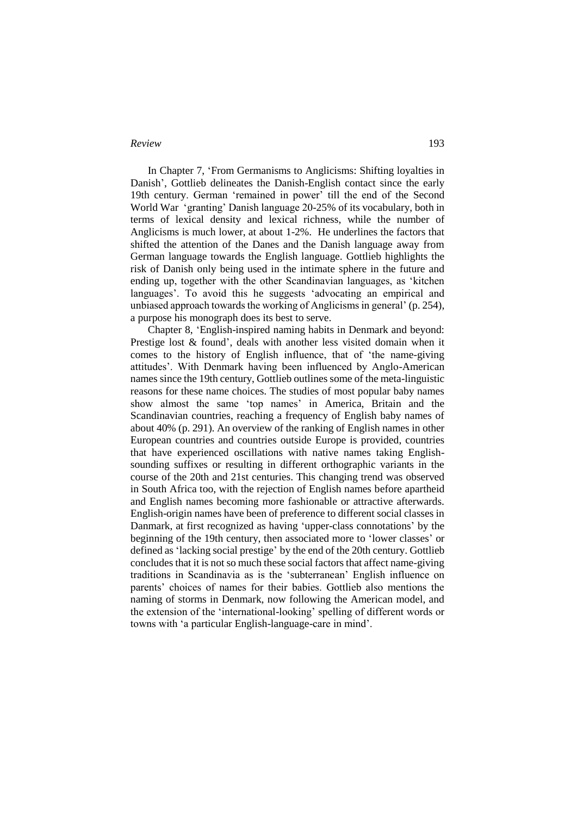In Chapter 7, 'From Germanisms to Anglicisms: Shifting loyalties in Danish', Gottlieb delineates the Danish-English contact since the early 19th century. German 'remained in power' till the end of the Second World War 'granting' Danish language 20-25% of its vocabulary, both in terms of lexical density and lexical richness, while the number of Anglicisms is much lower, at about 1-2%. He underlines the factors that shifted the attention of the Danes and the Danish language away from German language towards the English language. Gottlieb highlights the risk of Danish only being used in the intimate sphere in the future and ending up, together with the other Scandinavian languages, as 'kitchen languages'. To avoid this he suggests 'advocating an empirical and unbiased approach towards the working of Anglicisms in general' (p. 254), a purpose his monograph does its best to serve.

Chapter 8, 'English-inspired naming habits in Denmark and beyond: Prestige lost & found', deals with another less visited domain when it comes to the history of English influence, that of 'the name-giving attitudes'. With Denmark having been influenced by Anglo-American names since the 19th century, Gottlieb outlines some of the meta-linguistic reasons for these name choices. The studies of most popular baby names show almost the same 'top names' in America, Britain and the Scandinavian countries, reaching a frequency of English baby names of about 40% (p. 291). An overview of the ranking of English names in other European countries and countries outside Europe is provided, countries that have experienced oscillations with native names taking Englishsounding suffixes or resulting in different orthographic variants in the course of the 20th and 21st centuries. This changing trend was observed in South Africa too, with the rejection of English names before apartheid and English names becoming more fashionable or attractive afterwards. English-origin names have been of preference to different social classes in Danmark, at first recognized as having 'upper-class connotations' by the beginning of the 19th century, then associated more to 'lower classes' or defined as 'lacking social prestige' by the end of the 20th century. Gottlieb concludesthat it is not so much these social factors that affect name-giving traditions in Scandinavia as is the 'subterranean' English influence on parents' choices of names for their babies. Gottlieb also mentions the naming of storms in Denmark, now following the American model, and the extension of the 'international-looking' spelling of different words or towns with 'a particular English-language-care in mind'.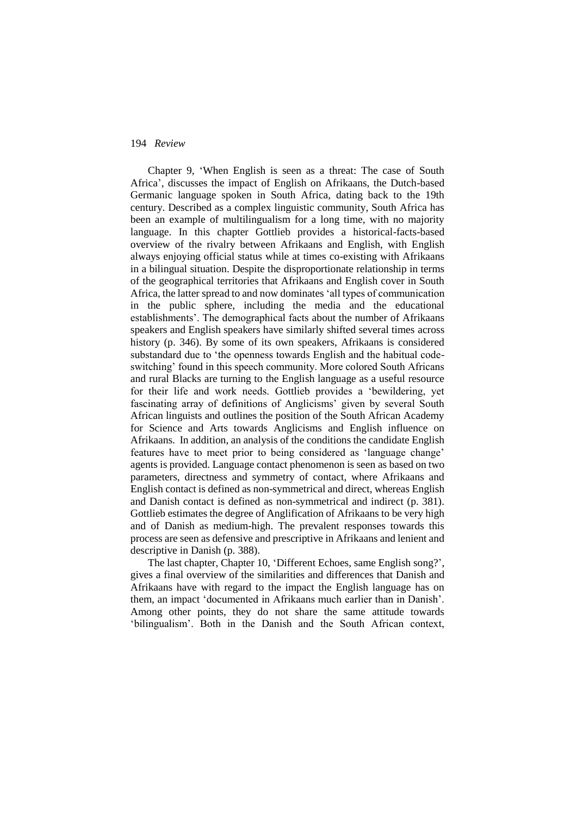Chapter 9, 'When English is seen as a threat: The case of South Africa', discusses the impact of English on Afrikaans, the Dutch-based Germanic language spoken in South Africa, dating back to the 19th century. Described as a complex linguistic community, South Africa has been an example of multilingualism for a long time, with no majority language. In this chapter Gottlieb provides a historical-facts-based overview of the rivalry between Afrikaans and English, with English always enjoying official status while at times co-existing with Afrikaans in a bilingual situation. Despite the disproportionate relationship in terms of the geographical territories that Afrikaans and English cover in South Africa, the latter spread to and now dominates 'all types of communication in the public sphere, including the media and the educational establishments'. The demographical facts about the number of Afrikaans speakers and English speakers have similarly shifted several times across history (p. 346). By some of its own speakers, Afrikaans is considered substandard due to 'the openness towards English and the habitual codeswitching' found in this speech community. More colored South Africans and rural Blacks are turning to the English language as a useful resource for their life and work needs. Gottlieb provides a 'bewildering, yet fascinating array of definitions of Anglicisms' given by several South African linguists and outlines the position of the South African Academy for Science and Arts towards Anglicisms and English influence on Afrikaans. In addition, an analysis of the conditions the candidate English features have to meet prior to being considered as 'language change' agents is provided. Language contact phenomenon is seen as based on two parameters, directness and symmetry of contact, where Afrikaans and English contact is defined as non-symmetrical and direct, whereas English and Danish contact is defined as non-symmetrical and indirect (p. 381). Gottlieb estimates the degree of Anglification of Afrikaans to be very high and of Danish as medium-high. The prevalent responses towards this process are seen as defensive and prescriptive in Afrikaans and lenient and descriptive in Danish (p. 388).

The last chapter, Chapter 10, 'Different Echoes, same English song?', gives a final overview of the similarities and differences that Danish and Afrikaans have with regard to the impact the English language has on them, an impact 'documented in Afrikaans much earlier than in Danish'. Among other points, they do not share the same attitude towards 'bilingualism'. Both in the Danish and the South African context,